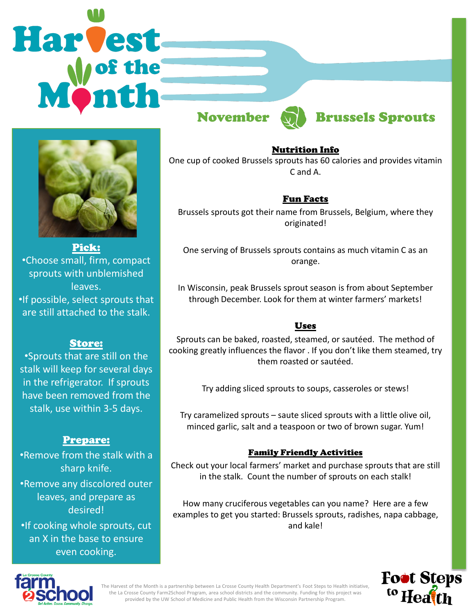# **Harvest**



# November **M** Brussels Sprouts



Pick: •Choose small, firm, compact sprouts with unblemished leaves. •If possible, select sprouts that are still attached to the stalk.

### Store:

•Sprouts that are still on the stalk will keep for several days in the refrigerator. If sprouts have been removed from the stalk, use within 3-5 days.

### Prepare:

•Remove from the stalk with a sharp knife.

•Remove any discolored outer leaves, and prepare as desired!

•If cooking whole sprouts, cut an X in the base to ensure even cooking.

### Nutrition Info

One cup of cooked Brussels sprouts has 60 calories and provides vitamin C and A.

## Fun Facts

Brussels sprouts got their name from Brussels, Belgium, where they originated!

One serving of Brussels sprouts contains as much vitamin C as an orange.

In Wisconsin, peak Brussels sprout season is from about September through December. Look for them at winter farmers' markets!

### Uses

Sprouts can be baked, roasted, steamed, or sautéed. The method of cooking greatly influences the flavor . If you don't like them steamed, try them roasted or sautéed.

Try adding sliced sprouts to soups, casseroles or stews!

Try caramelized sprouts – saute sliced sprouts with a little olive oil, minced garlic, salt and a teaspoon or two of brown sugar. Yum!

### Family Friendly Activities

Check out your local farmers' market and purchase sprouts that are still in the stalk. Count the number of sprouts on each stalk!

How many cruciferous vegetables can you name? Here are a few examples to get you started: Brussels sprouts, radishes, napa cabbage, and kale!